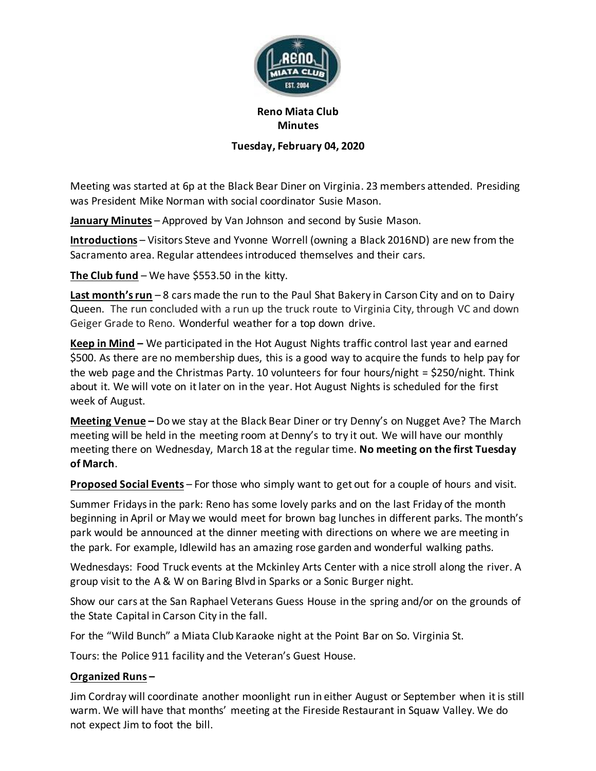

## **Reno Miata Club Minutes**

## **Tuesday, February 04, 2020**

Meeting was started at 6p at the Black Bear Diner on Virginia. 23 members attended. Presiding was President Mike Norman with social coordinator Susie Mason.

**January Minutes** – Approved by Van Johnson and second by Susie Mason.

**Introductions** – Visitors Steve and Yvonne Worrell (owning a Black 2016ND) are new from the Sacramento area. Regular attendees introduced themselves and their cars.

**The Club fund** – We have \$553.50 in the kitty.

**Last month's run** – 8 cars made the run to the Paul Shat Bakery in Carson City and on to Dairy Queen. The run concluded with a run up the truck route to Virginia City, through VC and down Geiger Grade to Reno. Wonderful weather for a top down drive.

**Keep in Mind –** We participated in the Hot August Nights traffic control last year and earned \$500. As there are no membership dues, this is a good way to acquire the funds to help pay for the web page and the Christmas Party. 10 volunteers for four hours/night = \$250/night. Think about it. We will vote on it later on in the year. Hot August Nights is scheduled for the first week of August.

**Meeting Venue –** Do we stay at the Black Bear Diner or try Denny's on Nugget Ave? The March meeting will be held in the meeting room at Denny's to try it out. We will have our monthly meeting there on Wednesday, March 18 at the regular time. **No meeting on the first Tuesday of March**.

**Proposed Social Events** – For those who simply want to get out for a couple of hours and visit.

Summer Fridays in the park: Reno has some lovely parks and on the last Friday of the month beginning in April or May we would meet for brown bag lunches in different parks. The month's park would be announced at the dinner meeting with directions on where we are meeting in the park. For example, Idlewild has an amazing rose garden and wonderful walking paths.

Wednesdays: Food Truck events at the Mckinley Arts Center with a nice stroll along the river. A group visit to the A & W on Baring Blvd in Sparks or a Sonic Burger night.

Show our cars at the San Raphael Veterans Guess House in the spring and/or on the grounds of the State Capital in Carson City in the fall.

For the "Wild Bunch" a Miata Club Karaoke night at the Point Bar on So. Virginia St.

Tours: the Police 911 facility and the Veteran's Guest House.

## **Organized Runs –**

Jim Cordray will coordinate another moonlight run in either August or September when it is still warm. We will have that months' meeting at the Fireside Restaurant in Squaw Valley. We do not expect Jim to foot the bill.